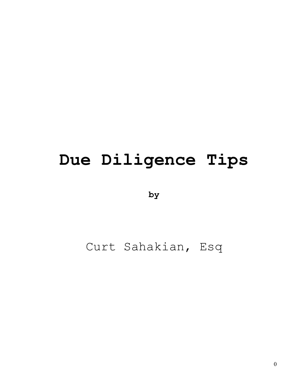# **Due Diligence Tips**

**by**

## Curt Sahakian, Esq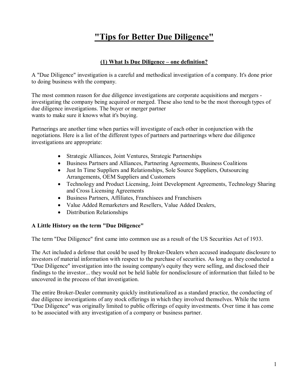### **"Tips for Better Due Diligence"**

#### **(1) What Is Due Diligence – one definition?**

A "Due Diligence" investigation is a careful and methodical investigation of a company. It's done prior to doing business with the company.

The most common reason for due diligence investigations are corporate acquisitions and mergers investigating the company being acquired or merged. These also tend to be the most thorough types of due diligence investigations. The buyer or merger partner wants to make sure it knows what it's buying.

Partnerings are another time when parties will investigate of each other in conjunction with the negotiations. Here is a list of the different types of partners and partnerings where due diligence investigations are appropriate:

- Strategic Alliances, Joint Ventures, Strategic Partnerships
- · Business Partners and Alliances, Partnering Agreements, Business Coalitions
- · Just In Time Suppliers and Relationships, Sole Source Suppliers, Outsourcing Arrangements, OEM Suppliers and Customers
- Technology and Product Licensing, Joint Development Agreements, Technology Sharing and Cross Licensing Agreements
- · Business Partners, Affiliates, Franchisees and Franchisers
- · Value Added Remarketers and Resellers, Value Added Dealers,
- · Distribution Relationships

#### **A Little History on the term "Due Diligence"**

The term "Due Diligence" first came into common use as a result of the US Securities Act of 1933.

The Act included a defense that could be used by Broker-Dealers when accused inadequate disclosure to investors of material information with respect to the purchase of securities. As long as they conducted a "Due Diligence" investigation into the issuing company's equity they were selling, and disclosed their findings to the investor... they would not be held liable for nondisclosure of information that failed to be uncovered in the process of that investigation.

The entire Broker-Dealer community quickly institutionalized as a standard practice, the conducting of due diligence investigations of any stock offerings in which they involved themselves. While the term "Due Diligence" was originally limited to public offerings of equity investments. Over time it has come to be associated with any investigation of a company or business partner.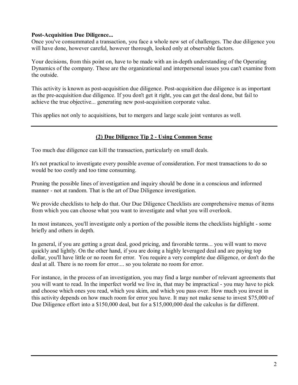#### **Post-Acquisition Due Diligence...**

Once you've consummated a transaction, you face a whole new set of challenges. The due diligence you will have done, however careful, however thorough, looked only at observable factors.

Your decisions, from this point on, have to be made with an in-depth understanding of the Operating Dynamics of the company. These are the organizational and interpersonal issues you can't examine from the outside.

This activity is known as post-acquisition due diligence. Post-acquisition due diligence is as important as the pre-acquisition due diligence. If you don't get it right, you can get the deal done, but fail to achieve the true objective... generating new post-acquisition corporate value.

This applies not only to acquisitions, but to mergers and large scale joint ventures as well.

#### **(2) Due Diligence Tip 2 Using Common Sense**

Too much due diligence can kill the transaction, particularly on small deals.

It's not practical to investigate every possible avenue of consideration. For most transactions to do so would be too costly and too time consuming.

Pruning the possible lines of investigation and inquiry should be done in a conscious and informed manner - not at random. That is the art of Due Diligence investigation.

We provide checklists to help do that. Our Due Diligence Checklists are comprehensive menus of items from which you can choose what you want to investigate and what you will overlook.

In most instances, you'll investigate only a portion of the possible items the checklists highlight - some briefly and others in depth.

In general, if you are getting a great deal, good pricing, and favorable terms... you will want to move quickly and lightly. On the other hand, if you are doing a highly leveraged deal and are paying top dollar, you'll have little or no room forerror. You require a very complete due diligence, or don't do the deal at all. There is no room for error.... so you tolerate no room for error.

For instance, in the process of an investigation, you may find a large number of relevant agreements that you will want to read. In the imperfect world we live in, that may be impractical you may have to pick and choose which ones you read, which you skim, and which you pass over. How much you invest in this activity depends on how much room forerror you have. It may not make sense to invest \$75,000 of Due Diligence effort into a \$150,000 deal, but for a \$15,000,000 deal the calculus is far different.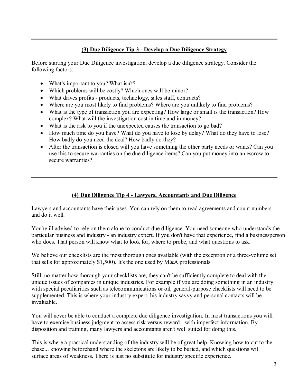#### **(3) Due Diligence Tip 3 Develop a Due Diligence Strategy**

Before starting your Due Diligence investigation, develop a due diligence strategy. Consider the following factors:

- What's important to you? What isn't?
- Which problems will be costly? Which ones will be minor?
- What drives profits products, technology, sales staff, contracts?
- Where are you most likely to find problems? Where are you unlikely to find problems?
- What is the type of transaction you are expecting? How large or small is the transaction? How complex? What will the investigation cost in time and in money?
- What is the risk to you if the unexpected causes the transaction to go bad?
- How much time do you have? What do you have to lose by delay? What do they have to lose? How badly do you need the deal? How badly do they?
- After the transaction is closed will you have something the other party needs or wants? Can you use this to secure warranties on the due diligence items? Can you put money into an escrow to secure warranties?

#### **(4) Due Diligence Tip 4 Lawyers, Accountants and Due Diligence**

Lawyers and accountants have their uses. You can rely on them to read agreements and count numbers and do it well.

You're ill advised to rely on them alone to conduct due diligence. You need someone who understands the particular business and industry - an industry expert. If you don't have that experience, find a businessperson who does. That person will know what to look for, where to probe, and what questions to ask.

We believe our checklists are the most thorough ones available (with the exception of a three-volume set that sells for approximately \$1,500). It's the one used by M&A professionals

Still, no matter how thorough your checklists are, they can't be sufficiently complete to deal with the unique issues of companies in unique industries. For example if you are doing something in an industry with special peculiarities such as telecommunications or oil, general-purpose checklists will need to be supplemented. This is where your industry expert, his industry savvy and personal contacts will be invaluable.

You will never be able to conduct a complete due diligence investigation. In most transactions you will have to exercise business judgment to assess risk versus reward - with imperfect information. By disposition and training, many lawyers and accountants aren't well suited for doing this.

This is where a practical understanding of the industry will be of great help. Knowing how to cut to the chase... knowing beforehand where the skeletons are likely to be buried, and which questions will surface areas of weakness. There is just no substitute for industry specific experience.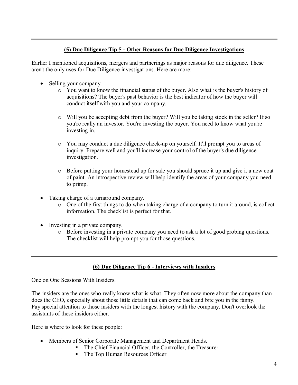#### **(5) Due Diligence Tip 5 Other Reasons for Due Diligence Investigations**

Earlier I mentioned acquisitions, mergers and partnerings as major reasons for due diligence. These aren't the only uses for Due Diligence investigations. Here are more:

- Selling your company.
	- o You want to know the financial status of the buyer. Also what is the buyer's history of acquisitions? The buyer's past behavior is the best indicator of how the buyer will conduct itself with you and your company.
	- o Will you be accepting debt from the buyer? Will you be taking stock in the seller? If so you're really an investor. You're investing the buyer. You need to know what you're investing in.
	- o You may conduct a due diligence check-up on yourself. It'll prompt you to areas of inquiry. Prepare well and you'll increase your control of the buyer's due diligence investigation.
	- o Before putting your homestead up for sale you should spruce it up and give it a new coat of paint. An introspective review will help identify the areas of your company you need to primp.
- · Taking charge of a turnaround company.
	- o One of the first things to do when taking charge of a company to turn it around, is collect information. The checklist is perfect for that.
- · Investing in a private company.
	- o Before investing in a private company you need to ask a lot of good probing questions. The checklist will help prompt you for those questions.

#### **(6) Due Diligence Tip 6 Interviews with Insiders**

One on One Sessions With Insiders.

The insiders are the ones who really know what is what. They often now more about the company than does the CEO, especially about those little details that can come back and bite you in the fanny. Pay special attention to those insiders with the longest history with the company. Don't overlook the assistants of these insiders either.

Here is where to look for these people:

- Members of Senior Corporate Management and Department Heads.
	- The Chief Financial Officer, the Controller, the Treasurer.
	- The Top Human Resources Officer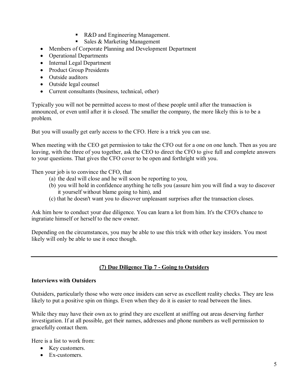- R&D and Engineering Management.
- Sales  $&$  Marketing Management
- · Members of Corporate Planning and Development Department
- Operational Departments
- · Internal Legal Department
- Product Group Presidents
- Outside auditors
- Outside legal counsel
- Current consultants (business, technical, other)

Typically you will not be permitted access to most of these people until after the transaction is announced, or even until after it is closed. The smaller the company, the more likely this is to be a problem.

But you will usually get early access to the CFO. Here is a trick you can use.

When meeting with the CEO get permission to take the CFO out for a one on one lunch. Then as you are leaving, with the three of you together, ask the CEO to direct the CFO to give full and complete answers to your questions. That gives the CFO cover to be open and forthright with you.

Then your job is to convince the CFO, that

- (a) the deal will close and he will soon be reporting to you,
- (b) you will hold in confidence anything he tells you (assure him you will find a way to discover it yourself without blame going to him), and
- (c) that he doesn't want you to discover unpleasant surprises after the transaction closes.

Ask him how to conduct your due diligence. You can learn a lot from him. It's the CFO's chance to ingratiate himself or herself to the new owner.

Depending on the circumstances, you may be able to use this trick with other key insiders. You most likely will only be able to use it once though.

#### **(7) Due Diligence Tip 7 Going to Outsiders**

#### **Interviews with Outsiders**

Outsiders, particularly those who were once insiders can serve as excellent reality checks. They are less likely to put a positive spin on things. Even when they do it is easier to read between the lines.

While they may have their own ax to grind they are excellent at sniffing out areas deserving further investigation. If at all possible, get their names, addresses and phone numbers as well permission to gracefully contact them.

Here is a list to work from:

- Key customers.
- Ex-customers.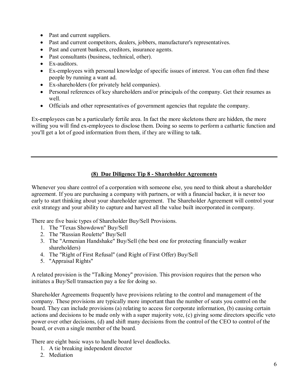- Past and current suppliers.
- · Past and current competitors, dealers, jobbers, manufacturer's representatives.
- · Past and current bankers, creditors, insurance agents.
- Past consultants (business, technical, other).
- $\bullet$  Ex-auditors.
- Ex-employees with personal knowledge of specific issues of interest. You can often find these people by running a want ad.
- Ex-shareholders (for privately held companies).
- · Personal references of key shareholders and/or principals of the company. Get their resumes as well.
- · Officials and other representatives of government agencies that regulate the company.

Ex-employees can be a particularly fertile area. In fact the more skeletons there are hidden, the more willing you will find ex-employees to disclose them. Doing so seems to perform a cathartic function and you'll get a lot of good information from them, if they are willing to talk.

#### **(8) Due Diligence Tip 8 Shareholder Agreements**

Whenever you share control of a corporation with someone else, you need to think about a shareholder agreement. If you are purchasing a company with partners, or with a financial backer, it is never too early to start thinking about your shareholder agreement. The Shareholder Agreement will control your exit strategy and your ability to capture and harvest all the value built incorporated in company.

There are five basic types of Shareholder Buy/Sell Provisions.

- 1. The "Texas Showdown" Buy/Sell
- 2. The "Russian Roulette" Buy/Sell
- 3. The "Armenian Handshake" Buy/Sell (the best one for protecting financially weaker shareholders)
- 4. The "Right of First Refusal" (and Right of First Offer) Buy/Sell
- 5. "Appraisal Rights"

A related provision is the "Talking Money" provision. This provision requires that the person who initiates a Buy/Sell transaction pay a fee for doing so.

Shareholder Agreements frequently have provisions relating to the control and management of the company. These provisions are typically more important than the number of seats you control on the board. They can include provisions (a) relating to access for corporate information, (b) causing certain actions and decisions to be made only with a super majority vote, (c) giving some directors specific veto power over other decisions, (d) and shift many decisions from the control of the CEO to control of the board, or even a single member of the board.

There are eight basic ways to handle board level deadlocks.

- 1. A tie breaking independent director
- 2. Mediation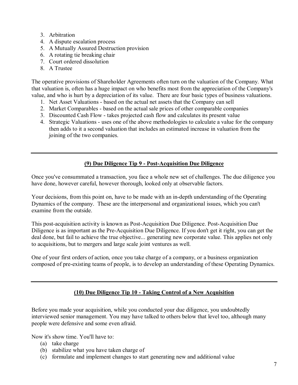- 3. Arbitration
- 4. A dispute escalation process
- 5. A Mutually Assured Destruction provision
- 6. A rotating tie breaking chair
- 7. Court ordered dissolution
- 8. A Trustee

The operative provisions of Shareholder Agreements often turn on the valuation of the Company. What that valuation is, often has a huge impact on who benefits most from the appreciation of the Company's value, and who is hurt by a depreciation of its value. There are four basic types of business valuations.

- 1. Net Asset Valuations based on the actual net assets that the Company can sell
- 2. Market Comparables based on the actual sale prices of other comparable companies
- 3. Discounted Cash Flow takes projected cash flow and calculates its present value
- 4. Strategic Valuations uses one of the above methodologies to calculate a value for the company then adds to it a second valuation that includes an estimated increase in valuation from the joining of the two companies.

#### **(9) Due Diligence Tip 9 PostAcquisition Due Diligence**

Once you've consummated a transaction, you face a whole new set of challenges. The due diligence you have done, however careful, however thorough, looked only at observable factors.

Your decisions, from this point on, have to be made with an in-depth understanding of the Operating Dynamics of the company. These are the interpersonal and organizational issues, which you can't examine from the outside.

This post-acquisition activity is known as Post-Acquisition Due Diligence. Post-Acquisition Due Diligence is as important as the Pre-Acquisition Due Diligence. If you don't get it right, you can get the deal done, but fail to achieve the true objective... generating new corporate value. This applies not only to acquisitions, but to mergers and large scale joint ventures as well.

One of your first orders of action, once you take charge of a company, or a business organization composed of pre-existing teams of people, is to develop an understanding of these Operating Dynamics.

#### **(10) Due Diligence Tip 10 Taking Control of a New Acquisition**

Before you made your acquisition, while you conducted your due diligence, you undoubtedly interviewed senior management. You may have talked to others below that level too, although many people were defensive and some even afraid.

Now it's show time. You'll have to:

- (a) take charge
- (b) stabilize what you have taken charge of
- (c) formulate and implement changes to start generating new and additional value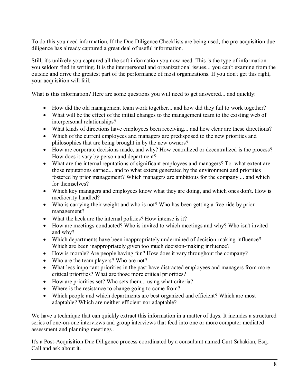To do this you need information. If the Due Diligence Checklists are being used, the pre-acquisition due diligence has already captured a great deal of useful information.

Still, it's unlikely you captured all the soft information you now need. This is the type of information you seldom find in writing. It is the interpersonal and organizational issues... you can't examine from the outside and drive the greatest part of the performance of most organizations. If you don't get this right, your acquisition will fail.

What is this information? Here are some questions you will need to get answered... and quickly:

- How did the old management team work together... and how did they fail to work together?
- What will be the effect of the initial changes to the management team to the existing web of interpersonal relationships?
- What kinds of directions have employees been receiving... and how clear are these directions?
- Which of the current employees and managers are predisposed to the new priorities and philosophies that are being brought in by the new owners?
- · How are corporate decisions made, and why? How centralized or decentralized is the process? How does it vary by person and department?
- What are the internal reputations of significant employees and managers? To what extent are those reputations earned... and to what extent generated by the environment and priorities fostered by prior management? Which managers are ambitious for the company ... and which for themselves?
- Which key managers and employees know what they are doing, and which ones don't. How is mediocrity handled?
- · Who is carrying their weight and who is not? Who has been getting a free ride by prior management?
- What the heck are the internal politics? How intense is it?
- · How are meetings conducted? Who is invited to which meetings and why? Who isn't invited and why?
- Which departments have been inappropriately undermined of decision-making influence? Which are been inappropriately given too much decision-making influence?
- How is morale? Are people having fun? How does it vary throughout the company?
- Who are the team players? Who are not?
- What less important priorities in the past have distracted employees and managers from more critical priorities? What are those more critical priorities?
- How are priorities set? Who sets them... using what criteria?
- Where is the resistance to change going to come from?
- · Which people and which departments are best organized and efficient? Which are most adaptable? Which are neither efficient nor adaptable?

We have a technique that can quickly extract this information in a matter of days. It includes a structured series of one-on-one interviews and group interviews that feed into one or more computer mediated assessment and planning meetings.

It's a Post-Acquisition Due Diligence process coordinated by a consultant named Curt Sahakian, Esq.. Call and ask about it.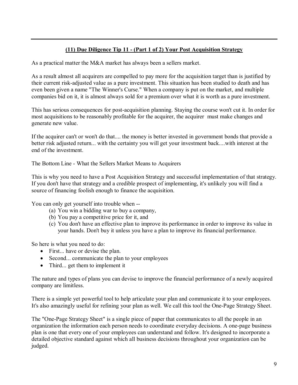#### **(11) Due Diligence Tip 11 (Part 1 of 2) Your Post Acquisition Strategy**

As a practical matter the M&A market has always been a sellers market.

As a result almost all acquirers are compelled to pay more for the acquisition target than is justified by their current risk-adjusted value as a pure investment. This situation has been studied to death and has even been given a name "The Winner's Curse." When a company is put on the market, and multiple companies bid on it, it is almost always sold for a premium over what it is worth as a pure investment.

This has serious consequences for post-acquisition planning. Staying the course won't cut it. In order for most acquisitions to be reasonably profitable for the acquirer, the acquirer must make changes and generate new value.

If the acquirer can't or won't do that.... the money is better invested in government bonds that provide a better risk adjusted return... with the certainty you will get your investment back....with interest at the end of the investment.

The Bottom Line - What the Sellers Market Means to Acquirers

This is why you need to have a Post Acquisition Strategy and successful implementation of that strategy. If you don't have that strategy and a credible prospect of implementing, it's unlikely you will find a source of financing foolish enough to finance the acquisition.

You can only get yourself into trouble when

- (a) You win a bidding war to buy a company,
- (b) You pay a competitive price for it, and
- (c) You don't have an effective plan to improve its performance in order to improve its value in your hands. Don't buy it unless you have a plan to improve its financial performance.

So here is what you need to do:

- First... have or devise the plan.
- Second... communicate the plan to your employees
- Third... get them to implement it

The nature and types of plans you can devise to improve the financial performance of a newly acquired company are limitless.

There is a simple yet powerful tool to help articulate your plan and communicate it to your employees. It's also amazingly useful for refining your plan as well. We call this tool the One-Page Strategy Sheet.

The "One-Page Strategy Sheet" is a single piece of paper that communicates to all the people in an organization the information each person needs to coordinate everyday decisions. A one-page business plan is one that every one of your employees can understand and follow. It's designed to incorporate a detailed objective standard against which all business decisions throughout your organization can be judged.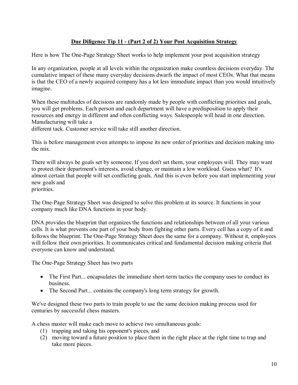#### **Due Diligence Tip 11 (Part 2 of 2) Your Post Acquisition Strategy**

Here is how The One-Page Strategy Sheet works to help implement your post acquisition strategy

In any organization, people at all levels within the organization make countless decisions everyday. The cumulative impact of these many everyday decisions dwarfs the impact of most CEOs. What that means is that the CEO of a newly acquired company has a lot less immediate impact than you would intuitively imagine.

When these multitudes of decisions are randomly made by people with conflicting priorities and goals, you will get problems. Each person and each department will have a predisposition to apply their resources and energy in different and often conflicting ways. Salespeople will head in one direction. Manufacturing will take a

different tack. Customer service will take still another direction.

This is before management even attempts to impose its new order of priorities and decision making into the mix.

There will always be goals set by someone. If you don't set them, your employees will. They may want to protect their department's interests, avoid change, or maintain a low workload. Guess what? It's almost certain that people will set conflicting goals. And this is even before you start implementing your new goals and priorities.

The One-Page Strategy Sheet was designed to solve this problem at its source. It functions in your company much like DNA functions in your body.

DNA provides the blueprint that organizes the functions and relationships between of all your various cells. It is what prevents one part of your body from fighting other parts. Every cell has a copy of it and follows the blueprint. The One-Page Strategy Sheet does the same for a company. Without it, employees will follow their own priorities. It communicates critical and fundamental decision making criteria that everyone can know and understand.

The One-Page Strategy Sheet has two parts

- The First Part... encapsulates the immediate short-term tactics the company uses to conduct its business.
- The Second Part... contains the company's long term strategy for growth.

We've designed these two parts to train people to use the same decision making process used for centuries by successful chess masters.

A chess master will make each move to achieve two simultaneous goals:

- (1) trapping and taking his opponent's pieces, and
- (2) moving toward a future position to place them in the right place at the right time to trap and take more pieces.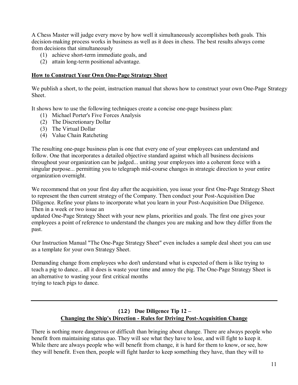A Chess Master will judge every move by how well it simultaneously accomplishes both goals. This decision-making process works in business as well as it does in chess. The best results always come from decisions that simultaneously

- $(1)$  achieve short-term immediate goals, and
- $(2)$  attain long-term positional advantage.

#### **How to Construct Your Own OnePage Strategy Sheet**

We publish a short, to the point, instruction manual that shows how to construct your own One-Page Strategy **Sheet**.

It shows how to use the following techniques create a concise one-page business plan:

- (1) Michael Porter's Five Forces Analysis
- (2) The Discretionary Dollar
- (3) The Virtual Dollar
- (4) Value Chain Ratcheting

The resulting one-page business plan is one that every one of your employees can understand and follow. One that incorporates a detailed objective standard against which all business decisions throughout your organization can be judged... uniting your employees into a coherent force with a singular purpose... permitting you to telegraph mid-course changes in strategic direction to your entire organization overnight.

We recommend that on your first day after the acquisition, you issue your first One-Page Strategy Sheet to represent the then current strategy of the Company. Then conduct your Post-Acquisition Due Diligence. Refine your plans to incorporate what you learn in your Post-Acquisition Due Diligence. Then in a week or two issue an

updated One-Page Strategy Sheet with your new plans, priorities and goals. The first one gives your employees a point of reference to understand the changes you are making and how they differ from the past.

Our Instruction Manual "The One-Page Strategy Sheet" even includes a sample deal sheet you can use as a template for your own Strategy Sheet.

Demanding change from employees who don't understand what is expected of them is like trying to teach a pig to dance... all it does is waste your time and annoy the pig. The One-Page Strategy Sheet is an alternative to wasting your first critical months trying to teach pigs to dance.

#### **(12) Due Diligence Tip 12 – Changing the Ship's Direction - Rules for Driving Post-Acquisition Change**

There is nothing more dangerous or difficult than bringing about change. There are always people who benefit from maintaining status quo. They will see what they have to lose, and will fight to keep it. While there are always people who will benefit from change, it is hard for them to know, or see, how they will benefit. Even then, people will fight harder to keep something they have, than they will to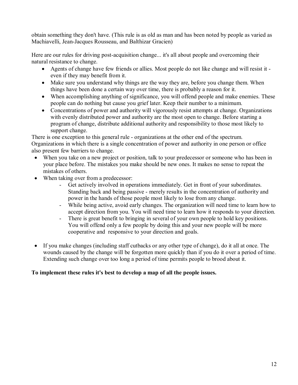obtain something they don't have. (This rule is as old as man and has been noted by people as varied as Machiavelli, Jean-Jacques Rousseau, and Balthizar Gracien)

Here are our rules for driving post-acquisition change... it's all about people and overcoming their natural resistance to change.

- Agents of change have few friends or allies. Most people do not like change and will resist it even if they may benefit from it.
- Make sure you understand why things are the way they are, before you change them. When things have been done a certain way over time, there is probably a reason for it.
- When accomplishing anything of significance, you will offend people and make enemies. These people can do nothing but cause you grief later. Keep their number to a minimum.
- Concentrations of power and authority will vigorously resist attempts at change. Organizations with evenly distributed power and authority are the most open to change. Before starting a program of change, distribute additional authority and responsibility to those most likely to support change.

There is one exception to this general rule - organizations at the other end of the spectrum. Organizations in which there is a single concentration of power and authority in one person or office also present few barriers to change.

- When you take on a new project or position, talk to your predecessor or someone who has been in your place before. The mistakes you make should be new ones. It makes no sense to repeat the mistakes of others.
- When taking over from a predecessor:
	- Get actively involved in operations immediately. Get in front of your subordinates. Standing back and being passive - merely results in the concentration of authority and power in the hands of those people most likely to lose from any change.
	- While being active, avoid early changes. The organization will need time to learn how to accept direction from you. You will need time to learn how it responds to your direction.
	- There is great benefit to bringing in several of your own people to hold key positions. You will offend only a few people by doing this and your new people will be more cooperative and responsive to your direction and goals.
- · If you make changes (including staff cutbacks or any other type of change), do it all at once. The wounds caused by the change will be forgotten more quickly than if you do it over a period of time. Extending such change over too long a period of time permits people to brood about it.

#### **To implement these rules it's best to develop a map of all the people issues.**